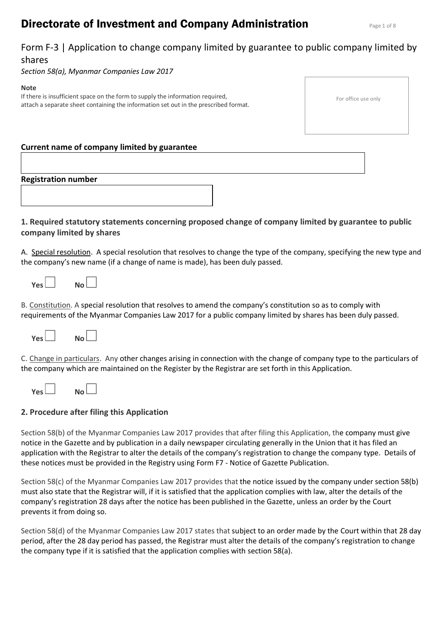# **Directorate of Investment and Company Administration Page 1 of 8 Rage 1 of 8**

# Form F-3 | Application to change company limited by guarantee to public company limited by shares

*Section 58(a), Myanmar Companies Law 2017*

### **Note**

If there is insufficient space on the form to supply the information required, attach a separate sheet containing the information set out in the prescribed format.

#### For office use only

# **Current name of company limited by guarantee**

# **Registration number**

# **1. Required statutory statements concerning proposed change of company limited by guarantee to public company limited by shares**

A. Special resolution. A special resolution that resolves to change the type of the company, specifying the new type and the company's new name (if a change of name is made), has been duly passed.

| Yes L<br>No l |  |
|---------------|--|
|---------------|--|

B. Constitution. A special resolution that resolves to amend the company's constitution so as to comply with requirements of the Myanmar Companies Law 2017 for a public company limited by shares has been duly passed.



C. Change in particulars. Any other changes arising in connection with the change of company type to the particulars of the company which are maintained on the Register by the Registrar are set forth in this Application.

| ا ۷۵۲ | No L |  |
|-------|------|--|
|       |      |  |

## **2. Procedure after filing this Application**

Section 58(b) of the Myanmar Companies Law 2017 provides that after filing this Application, the company must give notice in the Gazette and by publication in a daily newspaper circulating generally in the Union that it has filed an application with the Registrar to alter the details of the company's registration to change the company type. Details of these notices must be provided in the Registry using Form F7 - Notice of Gazette Publication.

Section 58(c) of the Myanmar Companies Law 2017 provides that the notice issued by the company under section 58(b) must also state that the Registrar will, if it is satisfied that the application complies with law, alter the details of the company's registration 28 days after the notice has been published in the Gazette, unless an order by the Court prevents it from doing so.

Section 58(d) of the Myanmar Companies Law 2017 states that subject to an order made by the Court within that 28 day period, after the 28 day period has passed, the Registrar must alter the details of the company's registration to change the company type if it is satisfied that the application complies with section 58(a).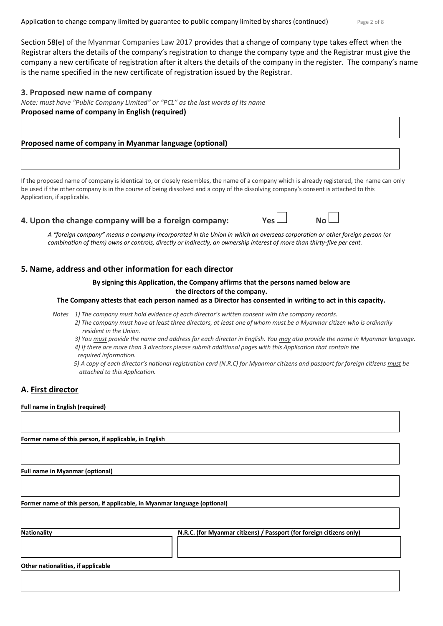Application to change company limited by guarantee to public company limited by shares (continued) Page 2 of 8

Section 58(e) of the Myanmar Companies Law 2017 provides that a change of company type takes effect when the Registrar alters the details of the company's registration to change the company type and the Registrar must give the company a new certificate of registration after it alters the details of the company in the register. The company's name is the name specified in the new certificate of registration issued by the Registrar.

## **3. Proposed new name of company**

*Note: must have "Public Company Limited" or "PCL" as the last words of its name* **Proposed name of company in English (required)** 

**Proposed name of company in Myanmar language (optional)** 

If the proposed name of company is identical to, or closely resembles, the name of a company which is already registered, the name can only be used if the other company is in the course of being dissolved and a copy of the dissolving company's consent is attached to this Application, if applicable.

**4. Upon the change company will be a foreign company:** 

*A "foreign company" means a company incorporated in the Union in which an overseas corporation or other foreign person (or combination of them) owns or controls, directly or indirectly, an ownership interest of more than thirty-five per cent.*

## **5. Name, address and other information for each director**

## **By signing this Application, the Company affirms that the persons named below are the directors of the company.**

## **The Company attests that each person named as a Director has consented in writing to act in this capacity.**

*Notes 1) The company must hold evidence of each director's written consent with the company records.*

*2) The company must have at least three directors, at least one of whom must be a Myanmar citizen who is ordinarily resident in the Union.*

*3) You must provide the name and address for each director in English. You may also provide the name in Myanmar language.*

- *4) If there are more than 3 directors please submit additional pages with this Application that contain the required information.*
- *5) A copy of each director's national registration card (N.R.C) for Myanmar citizens and passport for foreign citizens must be attached to this Application.*

# **A. First director**

## **Full name in English (required)**

**Former name of this person, if applicable, in English**

**Full name in Myanmar (optional)**

**Former name of this person, if applicable, in Myanmar language (optional)**

| <b>Nationality</b> | N.R.C. (for Myanmar citizens) / Passport (for foreign citizens only) |
|--------------------|----------------------------------------------------------------------|
|                    |                                                                      |
|                    |                                                                      |
|                    |                                                                      |

**Other nationalities, if applicable**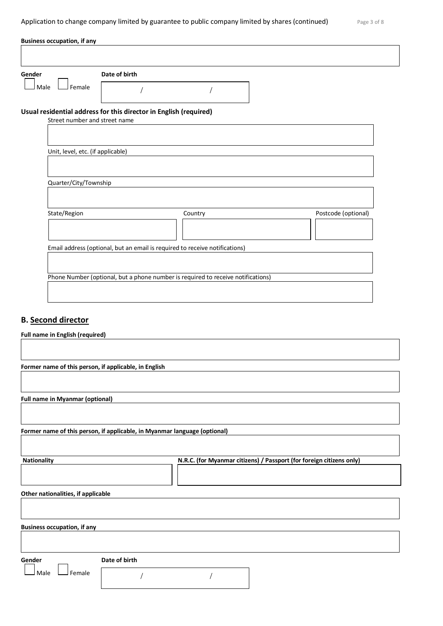Application to change company limited by guarantee to public company limited by shares (continued)

| アン<br>◠<br>$-$ | $\sim$ |  |
|----------------|--------|--|
|                |        |  |

| <b>Business occupation, if any</b>                    |                                                                             |                                                                                  |                     |
|-------------------------------------------------------|-----------------------------------------------------------------------------|----------------------------------------------------------------------------------|---------------------|
|                                                       |                                                                             |                                                                                  |                     |
| Gender                                                | Date of birth                                                               |                                                                                  |                     |
| Female<br>Male                                        |                                                                             |                                                                                  |                     |
| Street number and street name                         | Usual residential address for this director in English (required)           |                                                                                  |                     |
|                                                       |                                                                             |                                                                                  |                     |
| Unit, level, etc. (if applicable)                     |                                                                             |                                                                                  |                     |
|                                                       |                                                                             |                                                                                  |                     |
| Quarter/City/Township                                 |                                                                             |                                                                                  |                     |
|                                                       |                                                                             |                                                                                  |                     |
| State/Region                                          |                                                                             | Country                                                                          | Postcode (optional) |
|                                                       |                                                                             |                                                                                  |                     |
|                                                       | Email address (optional, but an email is required to receive notifications) |                                                                                  |                     |
|                                                       |                                                                             |                                                                                  |                     |
|                                                       |                                                                             | Phone Number (optional, but a phone number is required to receive notifications) |                     |
|                                                       |                                                                             |                                                                                  |                     |
|                                                       |                                                                             |                                                                                  |                     |
| <b>B.</b> Second director                             |                                                                             |                                                                                  |                     |
| <b>Full name in English (required)</b>                |                                                                             |                                                                                  |                     |
|                                                       |                                                                             |                                                                                  |                     |
| Former name of this person, if applicable, in English |                                                                             |                                                                                  |                     |
|                                                       |                                                                             |                                                                                  |                     |
| <b>Full name in Myanmar (optional)</b>                |                                                                             |                                                                                  |                     |
|                                                       |                                                                             |                                                                                  |                     |
|                                                       | Former name of this person, if applicable, in Myanmar language (optional)   |                                                                                  |                     |

**Nationality N.R.C. (for Myanmar citizens) / Passport (for foreign citizens only)**

**Other nationalities, if applicable**

**Business occupation, if any**

**Gender Date of birth**

 $\Box$  Male  $\Box$  Female

/ /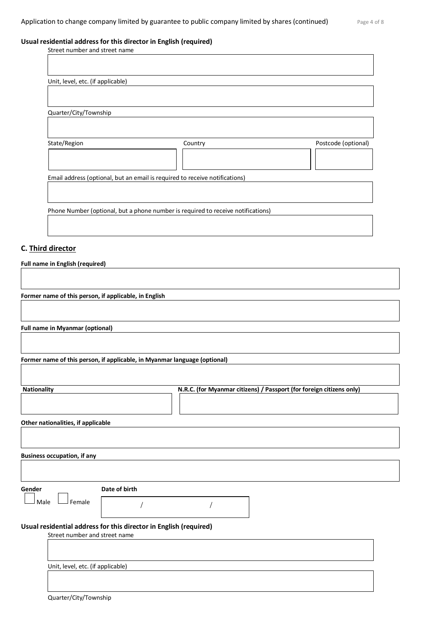## **Usual residential address for this director in English (required)**

| Street number and street name     |                                                                                  |                     |
|-----------------------------------|----------------------------------------------------------------------------------|---------------------|
|                                   |                                                                                  |                     |
|                                   |                                                                                  |                     |
| Unit, level, etc. (if applicable) |                                                                                  |                     |
|                                   |                                                                                  |                     |
|                                   |                                                                                  |                     |
| Quarter/City/Township             |                                                                                  |                     |
|                                   |                                                                                  |                     |
|                                   |                                                                                  |                     |
| State/Region                      | Country                                                                          | Postcode (optional) |
|                                   |                                                                                  |                     |
|                                   |                                                                                  |                     |
|                                   | Email address (optional, but an email is required to receive notifications)      |                     |
|                                   |                                                                                  |                     |
|                                   |                                                                                  |                     |
|                                   | Phone Number (optional, but a phone number is required to receive notifications) |                     |
|                                   |                                                                                  |                     |
|                                   |                                                                                  |                     |
|                                   |                                                                                  |                     |

## **C. Third director**

**Full name in English (required)**

**Former name of this person, if applicable, in English**

**Full name in Myanmar (optional)**

**Former name of this person, if applicable, in Myanmar language (optional)**

| <b>Nationality</b>                                                |               | N.R.C. (for Myanmar citizens) / Passport (for foreign citizens only) |  |
|-------------------------------------------------------------------|---------------|----------------------------------------------------------------------|--|
|                                                                   |               |                                                                      |  |
| Other nationalities, if applicable                                |               |                                                                      |  |
|                                                                   |               |                                                                      |  |
|                                                                   |               |                                                                      |  |
| <b>Business occupation, if any</b>                                |               |                                                                      |  |
|                                                                   |               |                                                                      |  |
|                                                                   |               |                                                                      |  |
| Gender                                                            | Date of birth |                                                                      |  |
| Male<br>Female                                                    |               |                                                                      |  |
| Usual residential address for this director in English (required) |               |                                                                      |  |
| Street number and street name                                     |               |                                                                      |  |
|                                                                   |               |                                                                      |  |
| Unit, level, etc. (if applicable)                                 |               |                                                                      |  |
|                                                                   |               |                                                                      |  |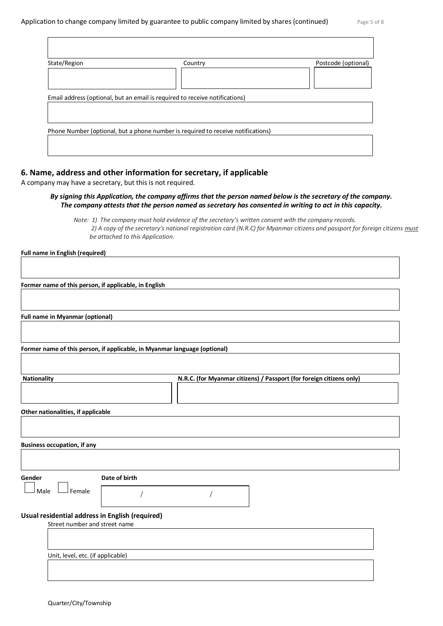| Email address (optional, but an email is required to receive notifications)      |  |
|----------------------------------------------------------------------------------|--|
|                                                                                  |  |
|                                                                                  |  |
|                                                                                  |  |
| Phone Number (optional, but a phone number is required to receive notifications) |  |

## **6. Name, address and other information for secretary, if applicable**

A company may have a secretary, but this is not required.

## *By signing this Application, the company affirms that the person named below is the secretary of the company. The company attests that the person named as secretary has consented in writing to act in this capacity.*

*Note: 1) The company must hold evidence of the secretary's written consent with the company records. 2) A copy of the secretary's national registration card (N.R.C) for Myanmar citizens and passport for foreign citizens must be attached to this Application.* 

#### **Full name in English (required)**

**Former name of this person, if applicable, in English**

**Full name in Myanmar (optional)**

**Former name of this person, if applicable, in Myanmar language (optional)**

| <b>Nationality</b> | N.R.C. (for Myanmar citizens) / Passport (for foreign citizens only) |
|--------------------|----------------------------------------------------------------------|
|                    |                                                                      |
|                    |                                                                      |
|                    |                                                                      |

**Other nationalities, if applicable**

**Business occupation, if any**

 $\Box$  Female

**Gender Date of birth**

/ /

## **Usual residential address in English (required)**

Street number and street name

Unit, level, etc. (if applicable)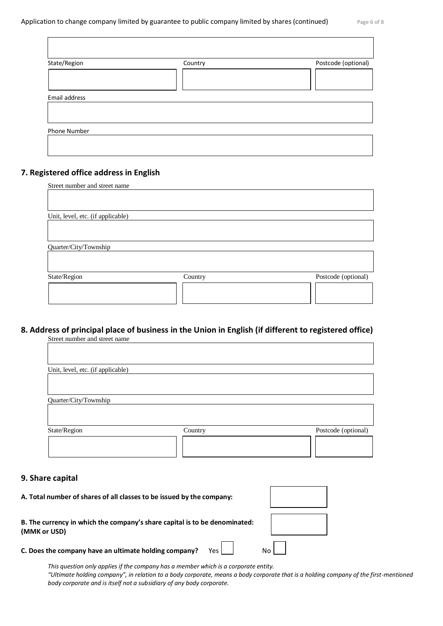| State/Region  | Country | Postcode (optional) |
|---------------|---------|---------------------|
|               |         |                     |
| Email address |         |                     |
|               |         |                     |
|               |         |                     |
| Phone Number  |         |                     |

## **7. Registered office address in English**

| Street number and street name     |         |                     |
|-----------------------------------|---------|---------------------|
|                                   |         |                     |
|                                   |         |                     |
| Unit, level, etc. (if applicable) |         |                     |
|                                   |         |                     |
|                                   |         |                     |
| Quarter/City/Township             |         |                     |
|                                   |         |                     |
|                                   |         |                     |
| State/Region                      | Country | Postcode (optional) |
|                                   |         |                     |
|                                   |         |                     |
|                                   |         |                     |

# **8. Address of principal place of business in the Union in English (if different to registered office)**

| Street number and street name     |         |                     |
|-----------------------------------|---------|---------------------|
|                                   |         |                     |
|                                   |         |                     |
| Unit, level, etc. (if applicable) |         |                     |
|                                   |         |                     |
|                                   |         |                     |
| Quarter/City/Township             |         |                     |
|                                   |         |                     |
|                                   |         |                     |
| State/Region                      | Country | Postcode (optional) |
|                                   |         |                     |
|                                   |         |                     |
|                                   |         |                     |

## **9. Share capital**

| A. Total number of shares of all classes to be issued by the company:                      |  |
|--------------------------------------------------------------------------------------------|--|
| B. The currency in which the company's share capital is to be denominated:<br>(MMK or USD) |  |
| Yes  <br>C. Does the company have an ultimate holding company?                             |  |

*This question only applies if the company has a member which is a corporate entity.* "Ultimate holding company", in relation to a body corporate, means a body corporate that is a holding company of the first-mentioned *body corporate and is itself not a subsidiary of any body corporate.*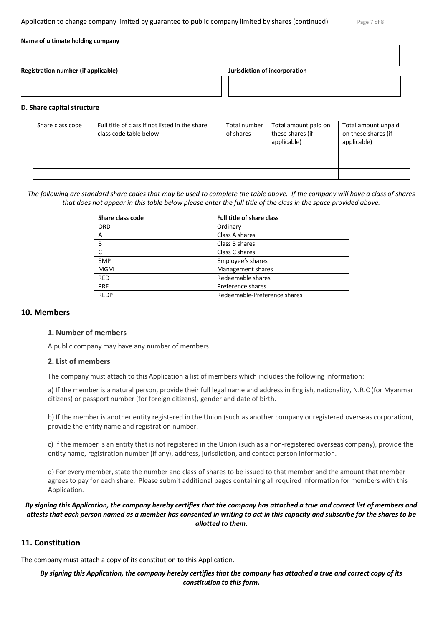#### **Name of ultimate holding company**

**Registration number (if applicable) Jurisdiction of incorporation**

## **D. Share capital structure**

| Share class code | Full title of class if not listed in the share<br>class code table below | Total number<br>of shares | Total amount paid on<br>these shares (if<br>applicable) | Total amount unpaid<br>on these shares (if<br>applicable) |
|------------------|--------------------------------------------------------------------------|---------------------------|---------------------------------------------------------|-----------------------------------------------------------|
|                  |                                                                          |                           |                                                         |                                                           |
|                  |                                                                          |                           |                                                         |                                                           |
|                  |                                                                          |                           |                                                         |                                                           |

## *The following are standard share codes that may be used to complete the table above. If the company will have a class of shares that does not appear in this table below please enter the full title of the class in the space provided above.*

| Share class code | <b>Full title of share class</b> |
|------------------|----------------------------------|
| ORD              | Ordinary                         |
| А                | Class A shares                   |
| B                | Class B shares                   |
|                  | Class C shares                   |
| <b>EMP</b>       | Employee's shares                |
| <b>MGM</b>       | Management shares                |
| <b>RED</b>       | Redeemable shares                |
| PRF              | Preference shares                |
| <b>REDP</b>      | Redeemable-Preference shares     |

## **10. Members**

## **1. Number of members**

A public company may have any number of members.

## **2. List of members**

The company must attach to this Application a list of members which includes the following information:

a) If the member is a natural person, provide their full legal name and address in English, nationality, N.R.C (for Myanmar citizens) or passport number (for foreign citizens), gender and date of birth.

b) If the member is another entity registered in the Union (such as another company or registered overseas corporation), provide the entity name and registration number.

c) If the member is an entity that is not registered in the Union (such as a non-registered overseas company), provide the entity name, registration number (if any), address, jurisdiction, and contact person information.

d) For every member, state the number and class of shares to be issued to that member and the amount that member agrees to pay for each share. Please submit additional pages containing all required information for members with this Application.

## *By signing this Application, the company hereby certifies that the company has attached a true and correct list of members and attests that each person named as a member has consented in writing to act in this capacity and subscribe for the shares to be allotted to them.*

## **11. Constitution**

The company must attach a copy of its constitution to this Application.

*By signing this Application, the company hereby certifies that the company has attached a true and correct copy of its constitution to this form.*